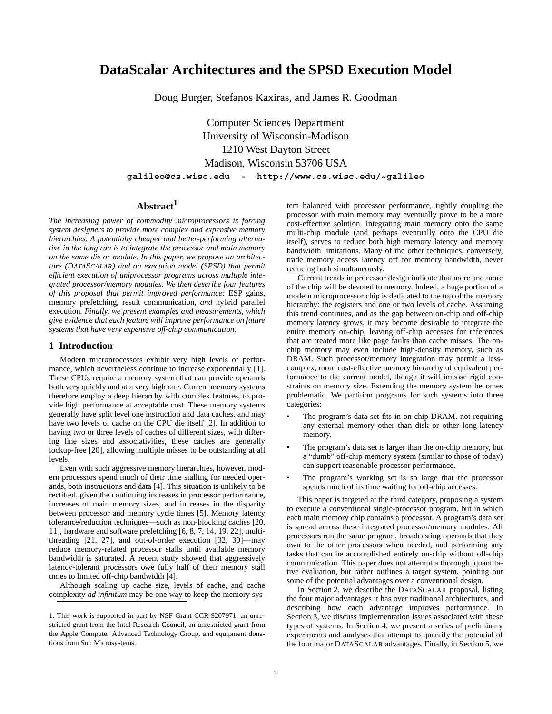# **DataScalar Architectures and the SPSD Execution Model**

Doug Burger, Stefanos Kaxiras, and James R. Goodman

Computer Sciences Department University of Wisconsin-Madison 1210 West Dayton Street Madison, Wisconsin 53706 USA **galileo@cs.wisc.edu - http://www.cs.wisc.edu/~galileo**

# **Abstract1**

*The increasing power of commodity microprocessors is forcing system designers to provide more complex and expensive memory hierarchies. A potentially cheaper and better-performing alternative in the long run is to integrate the processor and main memory on the same die or module. In this paper, we propose an architecture (DATASCALAR) and an execution model (SPSD) that permit efficient execution of uniprocessor programs across multiple integrated processor/memory modules. We then describe four features of this proposal that permit improved performance:* ESP gains*,* memory prefetching*,* result communication*, and* hybrid parallel execution*. Finally, we present examples and measurements, which give evidence that each feature will improve performance on future systems that have very expensive off-chip communication.*

### **1 Introduction**

Modern microprocessors exhibit very high levels of performance, which nevertheless continue to increase exponentially [1]. These CPUs require a memory system that can provide operands both very quickly and at a very high rate. Current memory systems therefore employ a deep hierarchy with complex features, to provide high performance at acceptable cost. These memory systems generally have split level one instruction and data caches, and may have two levels of cache on the CPU die itself [2]. In addition to having two or three levels of caches of different sizes, with differing line sizes and associativities, these caches are generally lockup-free [20], allowing multiple misses to be outstanding at all levels.

Even with such aggressive memory hierarchies, however, modern processors spend much of their time stalling for needed operands, both instructions and data [4]. This situation is unlikely to be rectified, given the continuing increases in processor performance, increases of main memory sizes, and increases in the disparity between processor and memory cycle times [5]. Memory latency tolerance/reduction techniques—such as non-blocking caches [20, 11], hardware and software prefetching [6, 8, 7, 14, 19, 22], multithreading [21, 27], and out-of-order execution [32, 30]—may reduce memory-related processor stalls until available memory bandwidth is saturated. A recent study showed that aggressively latency-tolerant processors owe fully half of their memory stall times to limited off-chip bandwidth [4].

Although scaling up cache size, levels of cache, and cache complexity *ad infinitum* may be one way to keep the memory system balanced with processor performance, tightly coupling the processor with main memory may eventually prove to be a more cost-effective solution. Integrating main memory onto the same multi-chip module (and perhaps eventually onto the CPU die itself), serves to reduce both high memory latency and memory bandwidth limitations. Many of the other techniques, conversely, trade memory access latency off for memory bandwidth, never reducing both simultaneously.

Current trends in processor design indicate that more and more of the chip will be devoted to memory. Indeed, a huge portion of a modern microprocessor chip is dedicated to the top of the memory hierarchy: the registers and one or two levels of cache. Assuming this trend continues, and as the gap between on-chip and off-chip memory latency grows, it may become desirable to integrate the entire memory on-chip, leaving off-chip accesses for references that are treated more like page faults than cache misses. The onchip memory may even include high-density memory, such as DRAM. Such processor/memory integration may permit a lesscomplex, more cost-effective memory hierarchy of equivalent performance to the current model, though it will impose rigid constraints on memory size. Extending the memory system becomes problematic. We partition programs for such systems into three categories:

- The program's data set fits in on-chip DRAM, not requiring any external memory other than disk or other long-latency memory.
- The program's data set is larger than the on-chip memory, but a "dumb" off-chip memory system (similar to those of today) can support reasonable processor performance,
- The program's working set is so large that the processor spends much of its time waiting for off-chip accesses.

This paper is targeted at the third category, proposing a system to execute a conventional single-processor program, but in which each main memory chip contains a processor. A program's data set is spread across these integrated processor/memory modules. All processors run the same program, broadcasting operands that they own to the other processors when needed, and performing any tasks that can be accomplished entirely on-chip without off-chip communication. This paper does not attempt a thorough, quantitative evaluation, but rather outlines a target system, pointing out some of the potential advantages over a conventional design.

In Section 2, we describe the DATASCALAR proposal, listing the four major advantages it has over traditional architectures, and describing how each advantage improves performance. In Section 3, we discuss implementation issues associated with these types of systems. In Section 4, we present a series of preliminary experiments and analyses that attempt to quantify the potential of the four major DATASCALAR advantages. Finally, in Section 5, we

<sup>1.</sup> This work is supported in part by NSF Grant CCR-9207971, an unrestricted grant from the Intel Research Council, an unrestricted grant from the Apple Computer Advanced Technology Group, and equipment donations from Sun Microsystems.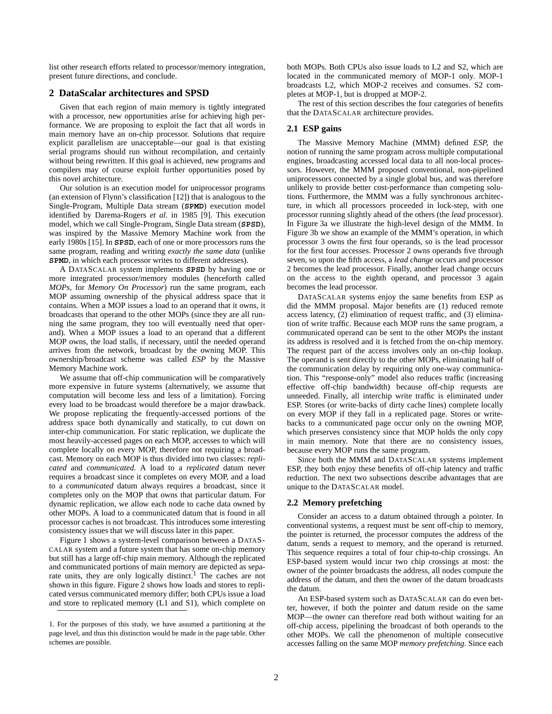list other research efforts related to processor/memory integration, present future directions, and conclude.

## **2 DataScalar architectures and SPSD**

Given that each region of main memory is tightly integrated with a processor, new opportunities arise for achieving high performance. We are proposing to exploit the fact that all words in main memory have an on-chip processor. Solutions that require explicit parallelism are unacceptable—our goal is that existing serial programs should run without recompilation, and certainly without being rewritten. If this goal is achieved, new programs and compilers may of course exploit further opportunities posed by this novel architecture.

Our solution is an execution model for uniprocessor programs (an extension of Flynn's classification [12]) that is analogous to the Single-Program, Multiple Data stream (**SPMD**) execution model identified by Darema-Rogers *et al*. in 1985 [9]. This execution model, which we call Single-Program, Single Data stream (**SPSD**), was inspired by the Massive Memory Machine work from the early 1980s [15]. In **SPSD**, each of one or more processors runs the same program, reading and writing *exactly the same data* (unlike **SPMD**, in which each processor writes to different addresses).

A DATASCALAR system implements **SPSD** by having one or more integrated processor/memory modules (henceforth called *MOPs*, for *Memory On Processor*) run the same program, each MOP assuming ownership of the physical address space that it contains. When a MOP issues a load to an operand that it owns, it broadcasts that operand to the other MOPs (since they are all running the same program, they too will eventually need that operand). When a MOP issues a load to an operand that a different MOP owns, the load stalls, if necessary, until the needed operand arrives from the network, broadcast by the owning MOP. This ownership/broadcast scheme was called *ESP* by the Massive Memory Machine work.

We assume that off-chip communication will be comparatively more expensive in future systems (alternatively, we assume that computation will become less and less of a limitation). Forcing every load to be broadcast would therefore be a major drawback. We propose replicating the frequently-accessed portions of the address space both dynamically and statically, to cut down on inter-chip communication. For static replication, we duplicate the most heavily-accessed pages on each MOP, accesses to which will complete locally on every MOP, therefore not requiring a broadcast. Memory on each MOP is thus divided into two classes: *replicated* and *communicated*. A load to a *replicated* datum never requires a broadcast since it completes on every MOP, and a load to a *communicated* datum always requires a broadcast, since it completes only on the MOP that owns that particular datum. For dynamic replication, we allow each node to cache data owned by other MOPs. A load to a communicated datum that is found in all processor caches is not broadcast. This introduces some interesting consistency issues that we will discuss later in this paper.

Figure 1 shows a system-level comparison between a DATAS-CALAR system and a future system that has some on-chip memory but still has a large off-chip main memory. Although the replicated and communicated portions of main memory are depicted as sepa-<br>rate units, they are only logically distinct.<sup>1</sup> The caches are not shown in this figure. Figure 2 shows how loads and stores to replicated versus communicated memory differ; both CPUs issue a load and store to replicated memory (L1 and S1), which complete on both MOPs. Both CPUs also issue loads to L2 and S2, which are located in the communicated memory of MOP-1 only. MOP-1 broadcasts L2, which MOP-2 receives and consumes. S2 completes at MOP-1, but is dropped at MOP-2.

The rest of this section describes the four categories of benefits that the DATASCALAR architecture provides.

# **2.1 ESP gains**

The Massive Memory Machine (MMM) defined *ESP*, the notion of running the same program across multiple computational engines, broadcasting accessed local data to all non-local processors. However, the MMM proposed conventional, non-pipelined uniprocessors connected by a single global bus, and was therefore unlikely to provide better cost-performance than competing solutions. Furthermore, the MMM was a fully synchronous architecture, in which all processors proceeded in lock-step, with one processor running slightly ahead of the others (the *lead* processor). In Figure 3a we illustrate the high-level design of the MMM. In Figure 3b we show an example of the MMM's operation, in which processor 3 owns the first four operands, so is the lead processor for the first four accesses. Processor 2 owns operands five through seven, so upon the fifth access, a *lead change* occurs and processor 2 becomes the lead processor. Finally, another lead change occurs on the access to the eighth operand, and processor 3 again becomes the lead processor.

DATASCALAR systems enjoy the same benefits from ESP as did the MMM proposal. Major benefits are (1) reduced remote access latency, (2) elimination of request traffic, and (3) elimination of write traffic. Because each MOP runs the same program, a communicated operand can be sent to the other MOPs the instant its address is resolved and it is fetched from the on-chip memory. The request part of the access involves only an on-chip lookup. The operand is sent directly to the other MOPs, eliminating half of the communication delay by requiring only one-way communication. This "response-only" model also reduces traffic (increasing effective off-chip bandwidth) because off-chip requests are unneeded. Finally, all interchip write traffic is eliminated under ESP. Stores (or write-backs of dirty cache lines) complete locally on every MOP if they fall in a replicated page. Stores or writebacks to a communicated page occur only on the owning MOP, which preserves consistency since that MOP holds the only copy in main memory. Note that there are no consistency issues, because every MOP runs the same program.

Since both the MMM and DATASCALAR systems implement ESP, they both enjoy these benefits of off-chip latency and traffic reduction. The next two subsections describe advantages that are unique to the DATASCALAR model.

#### **2.2 Memory prefetching**

Consider an access to a datum obtained through a pointer. In conventional systems, a request must be sent off-chip to memory, the pointer is returned, the processor computes the address of the datum, sends a request to memory, and the operand is returned. This sequence requires a total of four chip-to-chip crossings. An ESP-based system would incur two chip crossings at most: the owner of the pointer broadcasts the address, all nodes compute the address of the datum, and then the owner of the datum broadcasts the datum.

An ESP-based system such as DATASCALAR can do even better, however, if both the pointer and datum reside on the same MOP—the owner can therefore read both without waiting for an off-chip access, pipelining the broadcast of both operands to the other MOPs. We call the phenomenon of multiple consecutive accesses falling on the same MOP *memory prefetching*. Since each

<sup>1.</sup> For the purposes of this study, we have assumed a partitioning at the page level, and thus this distinction would be made in the page table. Other schemes are possible.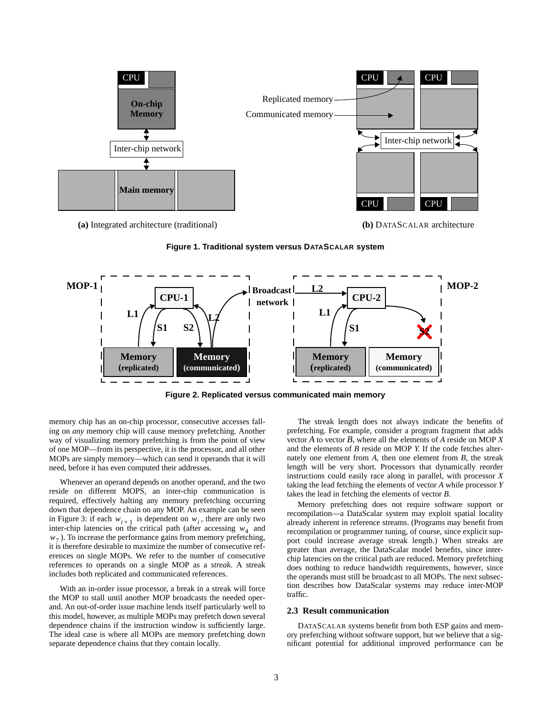

**(a)** Integrated architecture (traditional) **(b)** DATASCALAR architecture





**Figure 2. Replicated versus communicated main memory**

memory chip has an on-chip processor, consecutive accesses falling on *any* memory chip will cause memory prefetching. Another way of visualizing memory prefetching is from the point of view of one MOP—from its perspective, it is the processor, and all other MOPs are simply memory—which can send it operands that it will need, before it has even computed their addresses.

Whenever an operand depends on another operand, and the two reside on different MOPS, an inter-chip communication is required, effectively halting any memory prefetching occurring down that dependence chain on any MOP. An example can be seen in Figure 3: if each  $w_{i+1}$  is dependent on  $w_i$ , there are only two inter-chip latencies on the critical path (after accessing  $w_4$  and ). To increase the performance gains from memory prefetching, *w*7 it is therefore desirable to maximize the number of consecutive references on single MOPs. We refer to the number of consecutive references to operands on a single MOP as a *streak*. A streak includes both replicated and communicated references.

With an in-order issue processor, a break in a streak will force the MOP to stall until another MOP broadcasts the needed operand. An out-of-order issue machine lends itself particularly well to this model, however, as multiple MOPs may prefetch down several dependence chains if the instruction window is sufficiently large. The ideal case is where all MOPs are memory prefetching down separate dependence chains that they contain locally.

The streak length does not always indicate the benefits of prefetching. For example, consider a program fragment that adds vector *A* to vector *B*, where all the elements of *A* reside on MOP *X* and the elements of *B* reside on MOP *Y*. If the code fetches alternately one element from *A*, then one element from *B*, the streak length will be very short. Processors that dynamically reorder instructions could easily race along in parallel, with processor *X* taking the lead fetching the elements of vector *A* while processor *Y* takes the lead in fetching the elements of vector *B*.

Memory prefetching does not require software support or recompilation—a DataScalar system may exploit spatial locality already inherent in reference streams. (Programs may benefit from recompilation or programmer tuning, of course, since explicit support could increase average streak length.) When streaks are greater than average, the DataScalar model benefits, since interchip latencies on the critical path are reduced. Memory prefetching does nothing to reduce bandwidth requirements, however, since the operands must still be broadcast to all MOPs. The next subsection describes how DataScalar systems may reduce inter-MOP traffic.

#### **2.3 Result communication**

DATASCALAR systems benefit from both ESP gains and memory prefetching without software support, but we believe that a significant potential for additional improved performance can be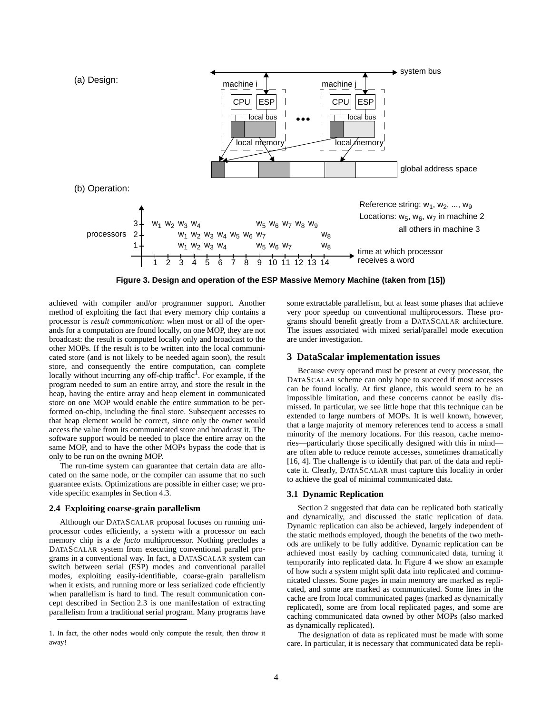

**Figure 3. Design and operation of the ESP Massive Memory Machine (taken from [15])**

achieved with compiler and/or programmer support. Another method of exploiting the fact that every memory chip contains a processor is *result communication*: when most or all of the operands for a computation are found locally, on one MOP, they are not broadcast: the result is computed locally only and broadcast to the other MOPs. If the result is to be written into the local communicated store (and is not likely to be needed again soon), the result store, and consequently the entire computation, can complete locally without incurring any off-chip traffic<sup>1</sup>. For example, if the program needed to sum an entire array, and store the result in the heap, having the entire array and heap element in communicated store on one MOP would enable the entire summation to be performed on-chip, including the final store. Subsequent accesses to that heap element would be correct, since only the owner would access the value from its communicated store and broadcast it. The software support would be needed to place the entire array on the same MOP, and to have the other MOPs bypass the code that is only to be run on the owning MOP.

The run-time system can guarantee that certain data are allocated on the same node, or the compiler can assume that no such guarantee exists. Optimizations are possible in either case; we provide specific examples in Section 4.3.

#### **2.4 Exploiting coarse-grain parallelism**

Although our DATASCALAR proposal focuses on running uniprocessor codes efficiently, a system with a processor on each memory chip is a *de facto* multiprocessor. Nothing precludes a DATASCALAR system from executing conventional parallel programs in a conventional way. In fact, a DATASCALAR system can switch between serial (ESP) modes and conventional parallel modes, exploiting easily-identifiable, coarse-grain parallelism when it exists, and running more or less serialized code efficiently when parallelism is hard to find. The result communication concept described in Section 2.3 is one manifestation of extracting parallelism from a traditional serial program. Many programs have

1. In fact, the other nodes would only compute the result, then throw it away!

some extractable parallelism, but at least some phases that achieve very poor speedup on conventional multiprocessors. These programs should benefit greatly from a DATASCALAR architecture. The issues associated with mixed serial/parallel mode execution are under investigation.

#### **3 DataScalar implementation issues**

Because every operand must be present at every processor, the DATASCALAR scheme can only hope to succeed if most accesses can be found locally. At first glance, this would seem to be an impossible limitation, and these concerns cannot be easily dismissed. In particular, we see little hope that this technique can be extended to large numbers of MOPs. It is well known, however, that a large majority of memory references tend to access a small minority of the memory locations. For this reason, cache memories—particularly those specifically designed with this in mind are often able to reduce remote accesses, sometimes dramatically [16, 4]. The challenge is to identify that part of the data and replicate it. Clearly, DATASCALAR must capture this locality in order to achieve the goal of minimal communicated data.

## **3.1 Dynamic Replication**

Section 2 suggested that data can be replicated both statically and dynamically, and discussed the static replication of data. Dynamic replication can also be achieved, largely independent of the static methods employed, though the benefits of the two methods are unlikely to be fully additive. Dynamic replication can be achieved most easily by caching communicated data, turning it temporarily into replicated data. In Figure 4 we show an example of how such a system might split data into replicated and communicated classes. Some pages in main memory are marked as replicated, and some are marked as communicated. Some lines in the cache are from local communicated pages (marked as dynamically replicated), some are from local replicated pages, and some are caching communicated data owned by other MOPs (also marked as dynamically replicated).

The designation of data as replicated must be made with some care. In particular, it is necessary that communicated data be repli-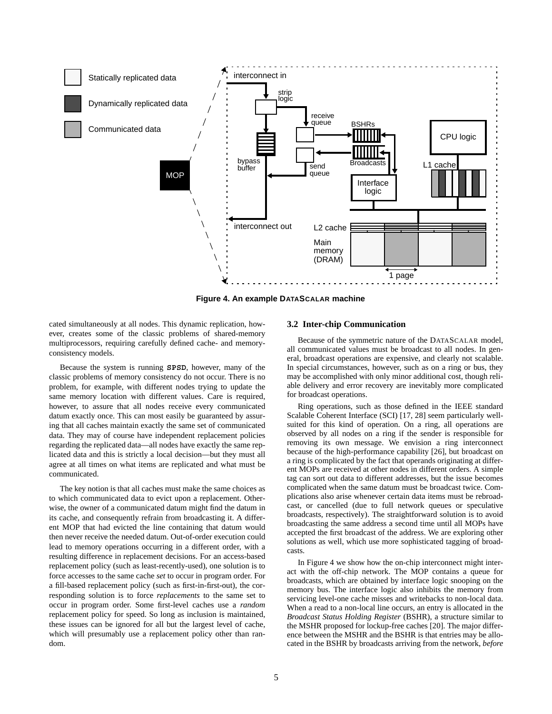

**Figure 4. An example DATASCALAR machine**

cated simultaneously at all nodes. This dynamic replication, however, creates some of the classic problems of shared-memory multiprocessors, requiring carefully defined cache- and memoryconsistency models.

Because the system is running **SPSD**, however, many of the classic problems of memory consistency do not occur. There is no problem, for example, with different nodes trying to update the same memory location with different values. Care is required, however, to assure that all nodes receive every communicated datum exactly once. This can most easily be guaranteed by assuring that all caches maintain exactly the same set of communicated data. They may of course have independent replacement policies regarding the replicated data—all nodes have exactly the same replicated data and this is strictly a local decision—but they must all agree at all times on what items are replicated and what must be communicated.

The key notion is that all caches must make the same choices as to which communicated data to evict upon a replacement. Otherwise, the owner of a communicated datum might find the datum in its cache, and consequently refrain from broadcasting it. A different MOP that had evicted the line containing that datum would then never receive the needed datum. Out-of-order execution could lead to memory operations occurring in a different order, with a resulting difference in replacement decisions. For an access-based replacement policy (such as least-recently-used), one solution is to force accesses to the same cache *set* to occur in program order. For a fill-based replacement policy (such as first-in-first-out), the corresponding solution is to force *replacements* to the same set to occur in program order. Some first-level caches use a *random* replacement policy for speed. So long as inclusion is maintained, these issues can be ignored for all but the largest level of cache, which will presumably use a replacement policy other than random.

## **3.2 Inter-chip Communication**

Because of the symmetric nature of the DATASCALAR model, all communicated values must be broadcast to all nodes. In general, broadcast operations are expensive, and clearly not scalable. In special circumstances, however, such as on a ring or bus, they may be accomplished with only minor additional cost, though reliable delivery and error recovery are inevitably more complicated for broadcast operations.

Ring operations, such as those defined in the IEEE standard Scalable Coherent Interface (SCI) [17, 28] seem particularly wellsuited for this kind of operation. On a ring, all operations are observed by all nodes on a ring if the sender is responsible for removing its own message. We envision a ring interconnect because of the high-performance capability [26], but broadcast on a ring is complicated by the fact that operands originating at different MOPs are received at other nodes in different orders. A simple tag can sort out data to different addresses, but the issue becomes complicated when the same datum must be broadcast twice. Complications also arise whenever certain data items must be rebroadcast, or cancelled (due to full network queues or speculative broadcasts, respectively). The straightforward solution is to avoid broadcasting the same address a second time until all MOPs have accepted the first broadcast of the address. We are exploring other solutions as well, which use more sophisticated tagging of broadcasts.

In Figure 4 we show how the on-chip interconnect might interact with the off-chip network. The MOP contains a queue for broadcasts, which are obtained by interface logic snooping on the memory bus. The interface logic also inhibits the memory from servicing level-one cache misses and writebacks to non-local data. When a read to a non-local line occurs, an entry is allocated in the *Broadcast Status Holding Register* (BSHR), a structure similar to the MSHR proposed for lockup-free caches [20]. The major difference between the MSHR and the BSHR is that entries may be allocated in the BSHR by broadcasts arriving from the network, *before*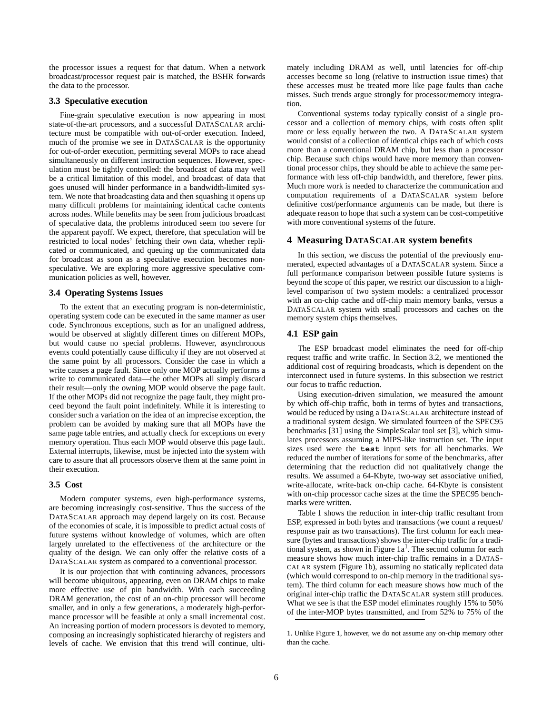the processor issues a request for that datum. When a network broadcast/processor request pair is matched, the BSHR forwards the data to the processor.

#### **3.3 Speculative execution**

Fine-grain speculative execution is now appearing in most state-of-the-art processors, and a successful DATASCALAR architecture must be compatible with out-of-order execution. Indeed, much of the promise we see in DATASCALAR is the opportunity for out-of-order execution, permitting several MOPs to race ahead simultaneously on different instruction sequences. However, speculation must be tightly controlled: the broadcast of data may well be a critical limitation of this model, and broadcast of data that goes unused will hinder performance in a bandwidth-limited system. We note that broadcasting data and then squashing it opens up many difficult problems for maintaining identical cache contents across nodes. While benefits may be seen from judicious broadcast of speculative data, the problems introduced seem too severe for the apparent payoff. We expect, therefore, that speculation will be restricted to local nodes' fetching their own data, whether replicated or communicated, and queuing up the communicated data for broadcast as soon as a speculative execution becomes nonspeculative. We are exploring more aggressive speculative communication policies as well, however.

## **3.4 Operating Systems Issues**

To the extent that an executing program is non-deterministic, operating system code can be executed in the same manner as user code. Synchronous exceptions, such as for an unaligned address, would be observed at slightly different times on different MOPs, but would cause no special problems. However, asynchronous events could potentially cause difficulty if they are not observed at the same point by all processors. Consider the case in which a write causes a page fault. Since only one MOP actually performs a write to communicated data—the other MOPs all simply discard their result—only the owning MOP would observe the page fault. If the other MOPs did not recognize the page fault, they might proceed beyond the fault point indefinitely. While it is interesting to consider such a variation on the idea of an imprecise exception, the problem can be avoided by making sure that all MOPs have the same page table entries, and actually check for exceptions on every memory operation. Thus each MOP would observe this page fault. External interrupts, likewise, must be injected into the system with care to assure that all processors observe them at the same point in their execution.

## **3.5 Cost**

Modern computer systems, even high-performance systems, are becoming increasingly cost-sensitive. Thus the success of the DATASCALAR approach may depend largely on its cost. Because of the economies of scale, it is impossible to predict actual costs of future systems without knowledge of volumes, which are often largely unrelated to the effectiveness of the architecture or the quality of the design. We can only offer the relative costs of a DATASCALAR system as compared to a conventional processor.

It is our projection that with continuing advances, processors will become ubiquitous, appearing, even on DRAM chips to make more effective use of pin bandwidth. With each succeeding DRAM generation, the cost of an on-chip processor will become smaller, and in only a few generations, a moderately high-performance processor will be feasible at only a small incremental cost. An increasing portion of modern processors is devoted to memory, composing an increasingly sophisticated hierarchy of registers and levels of cache. We envision that this trend will continue, ultimately including DRAM as well, until latencies for off-chip accesses become so long (relative to instruction issue times) that these accesses must be treated more like page faults than cache misses. Such trends argue strongly for processor/memory integration.

Conventional systems today typically consist of a single processor and a collection of memory chips, with costs often split more or less equally between the two. A DATASCALAR system would consist of a collection of identical chips each of which costs more than a conventional DRAM chip, but less than a processor chip. Because such chips would have more memory than conventional processor chips, they should be able to achieve the same performance with less off-chip bandwidth, and therefore, fewer pins. Much more work is needed to characterize the communication and computation requirements of a DATASCALAR system before definitive cost/performance arguments can be made, but there is adequate reason to hope that such a system can be cost-competitive with more conventional systems of the future.

### **4 Measuring DATASCALAR system benefits**

In this section, we discuss the potential of the previously enumerated, expected advantages of a DATASCALAR system. Since a full performance comparison between possible future systems is beyond the scope of this paper, we restrict our discussion to a highlevel comparison of two system models: a centralized processor with an on-chip cache and off-chip main memory banks, versus a DATASCALAR system with small processors and caches on the memory system chips themselves.

#### **4.1 ESP gain**

The ESP broadcast model eliminates the need for off-chip request traffic and write traffic. In Section 3.2, we mentioned the additional cost of requiring broadcasts, which is dependent on the interconnect used in future systems. In this subsection we restrict our focus to traffic reduction.

Using execution-driven simulation, we measured the amount by which off-chip traffic, both in terms of bytes and transactions, would be reduced by using a DATASCALAR architecture instead of a traditional system design. We simulated fourteen of the SPEC95 benchmarks [31] using the SimpleScalar tool set [3], which simulates processors assuming a MIPS-like instruction set. The input sizes used were the **test** input sets for all benchmarks. We reduced the number of iterations for some of the benchmarks, after determining that the reduction did not qualitatively change the results. We assumed a 64-Kbyte, two-way set associative unified, write-allocate, write-back on-chip cache. 64-Kbyte is consistent with on-chip processor cache sizes at the time the SPEC95 benchmarks were written.

Table 1 shows the reduction in inter-chip traffic resultant from ESP, expressed in both bytes and transactions (we count a request/ response pair as two transactions). The first column for each measure (bytes and transactions) shows the inter-chip traffic for a traditional system, as shown in Figure  $1a<sup>1</sup>$ . The second column for each measure shows how much inter-chip traffic remains in a DATAS-CALAR system (Figure 1b), assuming no statically replicated data (which would correspond to on-chip memory in the traditional system). The third column for each measure shows how much of the original inter-chip traffic the DATASCALAR system still produces. What we see is that the ESP model eliminates roughly 15% to 50% of the inter-MOP bytes transmitted, and from 52% to 75% of the

<sup>1.</sup> Unlike Figure 1, however, we do not assume any on-chip memory other than the cache.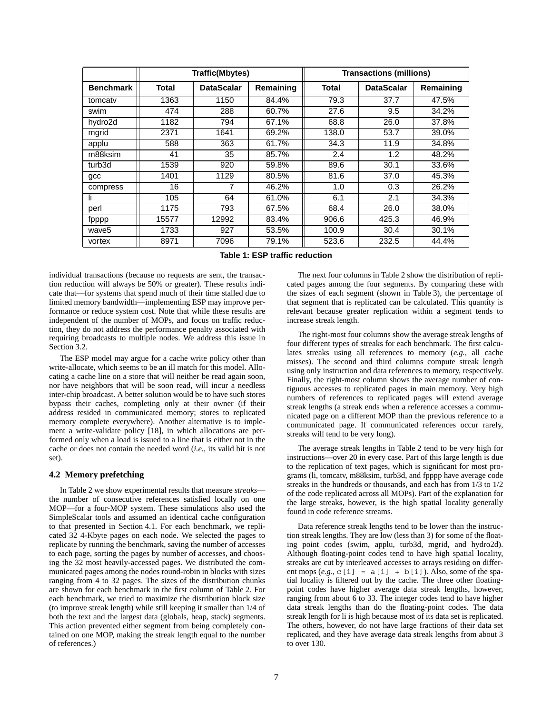|                  |       | Traffic(Mbytes)   |                           | <b>Transactions (millions)</b> |                   |           |  |
|------------------|-------|-------------------|---------------------------|--------------------------------|-------------------|-----------|--|
| <b>Benchmark</b> | Total | <b>DataScalar</b> | Remaining<br><b>Total</b> |                                | <b>DataScalar</b> | Remaining |  |
| tomcaty          | 1363  | 1150              | 84.4%                     | 79.3                           | 37.7              | 47.5%     |  |
| swim             | 474   | 288               | 60.7%                     | 27.6                           | 9.5               | 34.2%     |  |
| hydro2d          | 1182  | 794               | 67.1%                     | 68.8                           | 26.0              | 37.8%     |  |
| mgrid            | 2371  | 1641              | 69.2%                     | 138.0                          | 53.7              | 39.0%     |  |
| applu            | 588   | 363               | 61.7%                     | 34.3                           | 11.9              | 34.8%     |  |
| m88ksim          | 41    | 35                | 85.7%                     | 2.4                            | 1.2               | 48.2%     |  |
| turb3d           | 1539  | 920               | 59.8%                     | 89.6                           | 30.1              | 33.6%     |  |
| gcc              | 1401  | 1129              | 80.5%                     | 81.6                           | 37.0              | 45.3%     |  |
| compress         | 16    |                   | 46.2%                     | 1.0                            | 0.3               | 26.2%     |  |
| Ιi               | 105   | 64                | 61.0%                     | 6.1                            | 2.1               | 34.3%     |  |
| perl             | 1175  | 793               | 67.5%                     | 68.4                           | 26.0              | 38.0%     |  |
| fpppp            | 15577 | 12992             | 83.4%                     | 906.6                          | 425.3             | 46.9%     |  |
| wave5            | 1733  | 927               | 53.5%                     | 100.9                          | 30.4              | 30.1%     |  |
| vortex           | 8971  | 7096              | 79.1%                     | 523.6                          | 232.5             | 44.4%     |  |

| Table 1: ESP traffic reduction |  |  |  |  |
|--------------------------------|--|--|--|--|
|--------------------------------|--|--|--|--|

individual transactions (because no requests are sent, the transaction reduction will always be 50% or greater). These results indicate that—for systems that spend much of their time stalled due to limited memory bandwidth—implementing ESP may improve performance or reduce system cost. Note that while these results are independent of the number of MOPs, and focus on traffic reduction, they do not address the performance penalty associated with requiring broadcasts to multiple nodes. We address this issue in Section 3.2.

The ESP model may argue for a cache write policy other than write-allocate, which seems to be an ill match for this model. Allocating a cache line on a store that will neither be read again soon, nor have neighbors that will be soon read, will incur a needless inter-chip broadcast. A better solution would be to have such stores bypass their caches, completing only at their owner (if their address resided in communicated memory; stores to replicated memory complete everywhere). Another alternative is to implement a write-validate policy [18], in which allocations are performed only when a load is issued to a line that is either not in the cache or does not contain the needed word (*i.e.*, its valid bit is not set).

# **4.2 Memory prefetching**

In Table 2 we show experimental results that measure *streaks* the number of consecutive references satisfied locally on one MOP—for a four-MOP system. These simulations also used the SimpleScalar tools and assumed an identical cache configuration to that presented in Section 4.1. For each benchmark, we replicated 32 4-Kbyte pages on each node. We selected the pages to replicate by running the benchmark, saving the number of accesses to each page, sorting the pages by number of accesses, and choosing the 32 most heavily-accessed pages. We distributed the communicated pages among the nodes round-robin in blocks with sizes ranging from 4 to 32 pages. The sizes of the distribution chunks are shown for each benchmark in the first column of Table 2. For each benchmark, we tried to maximize the distribution block size (to improve streak length) while still keeping it smaller than 1/4 of both the text and the largest data (globals, heap, stack) segments. This action prevented either segment from being completely contained on one MOP, making the streak length equal to the number of references.)

The next four columns in Table 2 show the distribution of replicated pages among the four segments. By comparing these with the sizes of each segment (shown in Table 3), the percentage of that segment that is replicated can be calculated. This quantity is relevant because greater replication within a segment tends to increase streak length.

The right-most four columns show the average streak lengths of four different types of streaks for each benchmark. The first calculates streaks using all references to memory (*e.g.*, all cache misses). The second and third columns compute streak length using only instruction and data references to memory, respectively. Finally, the right-most column shows the average number of contiguous accesses to replicated pages in main memory. Very high numbers of references to replicated pages will extend average streak lengths (a streak ends when a reference accesses a communicated page on a different MOP than the previous reference to a communicated page. If communicated references occur rarely, streaks will tend to be very long).

The average streak lengths in Table 2 tend to be very high for instructions—over 20 in every case. Part of this large length is due to the replication of text pages, which is significant for most programs (li, tomcatv, m88ksim, turb3d, and fpppp have average code streaks in the hundreds or thousands, and each has from 1/3 to 1/2 of the code replicated across all MOPs). Part of the explanation for the large streaks, however, is the high spatial locality generally found in code reference streams.

Data reference streak lengths tend to be lower than the instruction streak lengths. They are low (less than 3) for some of the floating point codes (swim, applu, turb3d, mgrid, and hydro2d). Although floating-point codes tend to have high spatial locality, streaks are cut by interleaved accesses to arrays residing on different mops  $(e.g., c[i] = a[i] + b[i])$ . Also, some of the spatial locality is filtered out by the cache. The three other floatingpoint codes have higher average data streak lengths, however, ranging from about 6 to 33. The integer codes tend to have higher data streak lengths than do the floating-point codes. The data streak length for li is high because most of its data set is replicated. The others, however, do not have large fractions of their data set replicated, and they have average data streak lengths from about 3 to over 130.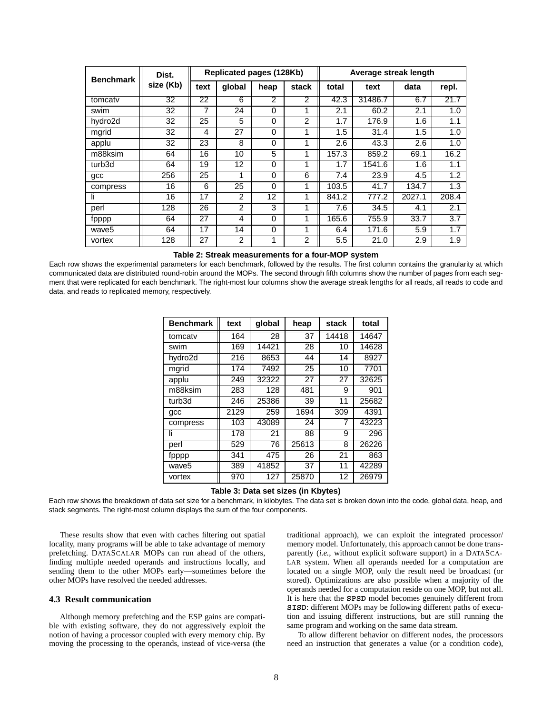| <b>Benchmark</b> | Dist.<br>size (Kb) | <b>Replicated pages (128Kb)</b> |                |          |                | Average streak length |         |        |       |
|------------------|--------------------|---------------------------------|----------------|----------|----------------|-----------------------|---------|--------|-------|
|                  |                    | text                            | qlobal         | heap     | stack          | total                 | text    | data   | repl. |
| tomcatv          | 32                 | 22                              | 6              | 2        | $\overline{2}$ | 42.3                  | 31486.7 | 6.7    | 21.7  |
| swim             | 32                 | 7                               | 24             | $\Omega$ |                | 2.1                   | 60.2    | 2.1    | 1.0   |
| hydro2d          | 32                 | 25                              | 5              | $\Omega$ | 2              | 1.7                   | 176.9   | 1.6    | 1.1   |
| mgrid            | 32                 | 4                               | 27             | $\Omega$ |                | 1.5                   | 31.4    | 1.5    | 1.0   |
| applu            | 32                 | 23                              | 8              | $\Omega$ | 1              | 2.6                   | 43.3    | 2.6    | 1.0   |
| m88ksim          | 64                 | 16                              | 10             | 5        | 1              | 157.3                 | 859.2   | 69.1   | 16.2  |
| turb3d           | 64                 | 19                              | 12             | $\Omega$ | 4              | 1.7                   | 1541.6  | 1.6    | 1.1   |
| <b>acc</b>       | 256                | 25                              | 1              | $\Omega$ | 6              | 7.4                   | 23.9    | 4.5    | 1.2   |
| compress         | 16                 | 6                               | 25             | $\Omega$ |                | 103.5                 | 41.7    | 134.7  | 1.3   |
| li.              | 16                 | 17                              | 2              | 12       | 1              | 841.2                 | 777.2   | 2027.1 | 208.4 |
| perl             | 128                | 26                              | $\overline{2}$ | 3        | 1              | 7.6                   | 34.5    | 4.1    | 2.1   |
| fpppp            | 64                 | 27                              | 4              | $\Omega$ | 1              | 165.6                 | 755.9   | 33.7   | 3.7   |
| wave5            | 64                 | 17                              | 14             | $\Omega$ |                | 6.4                   | 171.6   | 5.9    | 1.7   |
| vortex           | 128                | 27                              | 2              |          | 2              | 5.5                   | 21.0    | 2.9    | 1.9   |

#### **Table 2: Streak measurements for a four-MOP system**

Each row shows the experimental parameters for each benchmark, followed by the results. The first column contains the granularity at which communicated data are distributed round-robin around the MOPs. The second through fifth columns show the number of pages from each segment that were replicated for each benchmark. The right-most four columns show the average streak lengths for all reads, all reads to code and data, and reads to replicated memory, respectively.

| <b>Benchmark</b>   | text | global | heap  | stack | total |
|--------------------|------|--------|-------|-------|-------|
| tomcatv            | 164  | 28     | 37    | 14418 | 14647 |
| swim               | 169  | 14421  | 28    | 10    | 14628 |
| hydro2d            | 216  | 8653   | 44    | 14    | 8927  |
| mgrid              | 174  | 7492   | 25    | 10    | 7701  |
| applu              | 249  | 32322  | 27    | 27    | 32625 |
| m88ksim            | 283  | 128    | 481   | 9     | 901   |
| turb <sub>3d</sub> | 246  | 25386  | 39    | 11    | 25682 |
| gcc                | 2129 | 259    | 1694  | 309   | 4391  |
| compress           | 103  | 43089  | 24    | 7     | 43223 |
| Ιi                 | 178  | 21     | 88    | 9     | 296   |
| perl               | 529  | 76     | 25613 | 8     | 26226 |
| fpppp              | 341  | 475    | 26    | 21    | 863   |
| wave5              | 389  | 41852  | 37    | 11    | 42289 |
| vortex             | 970  | 127    | 25870 | 12    | 26979 |

#### **Table 3: Data set sizes (in Kbytes)**

Each row shows the breakdown of data set size for a benchmark, in kilobytes. The data set is broken down into the code, global data, heap, and stack segments. The right-most column displays the sum of the four components.

These results show that even with caches filtering out spatial locality, many programs will be able to take advantage of memory prefetching. DATASCALAR MOPs can run ahead of the others, finding multiple needed operands and instructions locally, and sending them to the other MOPs early—sometimes before the other MOPs have resolved the needed addresses.

# **4.3 Result communication**

Although memory prefetching and the ESP gains are compatible with existing software, they do not aggressively exploit the notion of having a processor coupled with every memory chip. By moving the processing to the operands, instead of vice-versa (the traditional approach), we can exploit the integrated processor/ memory model. Unfortunately, this approach cannot be done transparently (*i.e.*, without explicit software support) in a DATASCA-LAR system. When all operands needed for a computation are located on a single MOP, only the result need be broadcast (or stored). Optimizations are also possible when a majority of the operands needed for a computation reside on one MOP, but not all. It is here that the **SPSD** model becomes genuinely different from **SISD**: different MOPs may be following different paths of execution and issuing different instructions, but are still running the same program and working on the same data stream.

To allow different behavior on different nodes, the processors need an instruction that generates a value (or a condition code),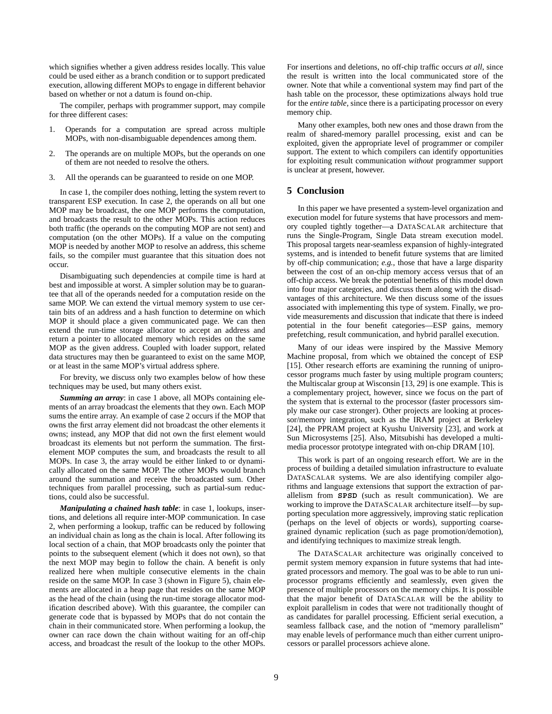which signifies whether a given address resides locally. This value could be used either as a branch condition or to support predicated execution, allowing different MOPs to engage in different behavior based on whether or not a datum is found on-chip.

The compiler, perhaps with programmer support, may compile for three different cases:

- 1. Operands for a computation are spread across multiple MOPs, with non-disambiguable dependences among them.
- 2. The operands are on multiple MOPs, but the operands on one of them are not needed to resolve the others.
- 3. All the operands can be guaranteed to reside on one MOP.

In case 1, the compiler does nothing, letting the system revert to transparent ESP execution. In case 2, the operands on all but one MOP may be broadcast, the one MOP performs the computation, and broadcasts the result to the other MOPs. This action reduces both traffic (the operands on the computing MOP are not sent) and computation (on the other MOPs). If a value on the computing MOP is needed by another MOP to resolve an address, this scheme fails, so the compiler must guarantee that this situation does not occur.

Disambiguating such dependencies at compile time is hard at best and impossible at worst. A simpler solution may be to guarantee that all of the operands needed for a computation reside on the same MOP. We can extend the virtual memory system to use certain bits of an address and a hash function to determine on which MOP it should place a given communicated page. We can then extend the run-time storage allocator to accept an address and return a pointer to allocated memory which resides on the same MOP as the given address. Coupled with loader support, related data structures may then be guaranteed to exist on the same MOP, or at least in the same MOP's virtual address sphere.

For brevity, we discuss only two examples below of how these techniques may be used, but many others exist.

*Summing an array*: in case 1 above, all MOPs containing elements of an array broadcast the elements that they own. Each MOP sums the entire array. An example of case 2 occurs if the MOP that owns the first array element did not broadcast the other elements it owns; instead, any MOP that did not own the first element would broadcast its elements but not perform the summation. The firstelement MOP computes the sum, and broadcasts the result to all MOPs. In case 3, the array would be either linked to or dynamically allocated on the same MOP. The other MOPs would branch around the summation and receive the broadcasted sum. Other techniques from parallel processing, such as partial-sum reductions, could also be successful.

*Manipulating a chained hash table*: in case 1, lookups, insertions, and deletions all require inter-MOP communication. In case 2, when performing a lookup, traffic can be reduced by following an individual chain as long as the chain is local. After following its local section of a chain, that MOP broadcasts only the pointer that points to the subsequent element (which it does not own), so that the next MOP may begin to follow the chain. A benefit is only realized here when multiple consecutive elements in the chain reside on the same MOP. In case 3 (shown in Figure 5), chain elements are allocated in a heap page that resides on the same MOP as the head of the chain (using the run-time storage allocator modification described above). With this guarantee, the compiler can generate code that is bypassed by MOPs that do not contain the chain in their communicated store. When performing a lookup, the owner can race down the chain without waiting for an off-chip access, and broadcast the result of the lookup to the other MOPs. For insertions and deletions, no off-chip traffic occurs *at all*, since the result is written into the local communicated store of the owner. Note that while a conventional system may find part of the hash table on the processor, these optimizations always hold true for the *entire table*, since there is a participating processor on every memory chip.

Many other examples, both new ones and those drawn from the realm of shared-memory parallel processing, exist and can be exploited, given the appropriate level of programmer or compiler support. The extent to which compilers can identify opportunities for exploiting result communication *without* programmer support is unclear at present, however.

# **5 Conclusion**

In this paper we have presented a system-level organization and execution model for future systems that have processors and memory coupled tightly together—a DATASCALAR architecture that runs the Single-Program, Single Data stream execution model. This proposal targets near-seamless expansion of highly-integrated systems, and is intended to benefit future systems that are limited by off-chip communication; *e.g.*, those that have a large disparity between the cost of an on-chip memory access versus that of an off-chip access. We break the potential benefits of this model down into four major categories, and discuss them along with the disadvantages of this architecture. We then discuss some of the issues associated with implementing this type of system. Finally, we provide measurements and discussion that indicate that there is indeed potential in the four benefit categories—ESP gains, memory prefetching, result communication, and hybrid parallel execution.

Many of our ideas were inspired by the Massive Memory Machine proposal, from which we obtained the concept of ESP [15]. Other research efforts are examining the running of uniprocessor programs much faster by using multiple program counters; the Multiscalar group at Wisconsin [13, 29] is one example. This is a complementary project, however, since we focus on the part of the system that is external to the processor (faster processors simply make our case stronger). Other projects are looking at processor/memory integration, such as the IRAM project at Berkeley [24], the PPRAM project at Kyushu University [23], and work at Sun Microsystems [25]. Also, Mitsubishi has developed a multimedia processor prototype integrated with on-chip DRAM [10].

This work is part of an ongoing research effort. We are in the process of building a detailed simulation infrastructure to evaluate DATASCALAR systems. We are also identifying compiler algorithms and language extensions that support the extraction of parallelism from **SPSD** (such as result communication). We are working to improve the DATASCALAR architecture itself—by supporting speculation more aggressively, improving static replication (perhaps on the level of objects or words), supporting coarsegrained dynamic replication (such as page promotion/demotion), and identifying techniques to maximize streak length.

The DATASCALAR architecture was originally conceived to permit system memory expansion in future systems that had integrated processors and memory. The goal was to be able to run uniprocessor programs efficiently and seamlessly, even given the presence of multiple processors on the memory chips. It is possible that the major benefit of DATASCALAR will be the ability to exploit parallelism in codes that were not traditionally thought of as candidates for parallel processing. Efficient serial execution, a seamless fallback case, and the notion of "memory parallelism" may enable levels of performance much than either current uniprocessors or parallel processors achieve alone.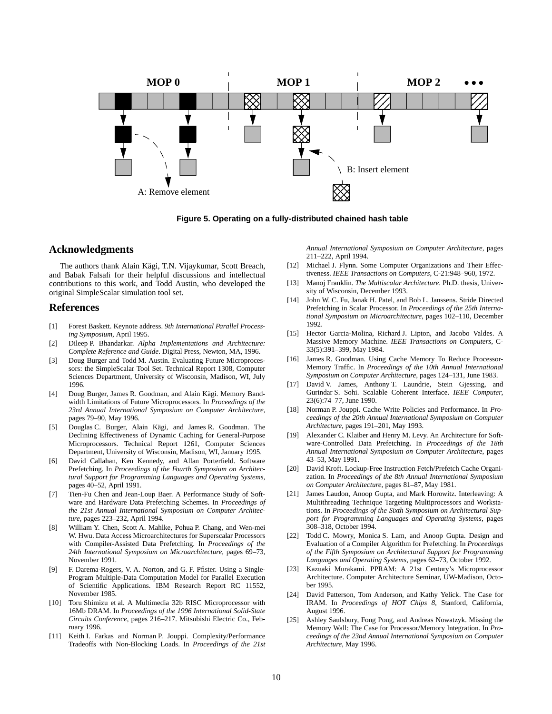

**Figure 5. Operating on a fully-distributed chained hash table**

# **Acknowledgments**

The authors thank Alain Kägi, T.N. Vijaykumar, Scott Breach, and Babak Falsafi for their helpful discussions and intellectual contributions to this work, and Todd Austin, who developed the original SimpleScalar simulation tool set.

# **References**

- [1] Forest Baskett. Keynote address. *9th International Parallel Processing Symposium*, April 1995.
- [2] Dileep P. Bhandarkar. *Alpha Implementations and Architecture: Complete Reference and Guide*. Digital Press, Newton, MA, 1996.
- [3] Doug Burger and Todd M. Austin. Evaluating Future Microprocessors: the SimpleScalar Tool Set. Technical Report 1308, Computer Sciences Department, University of Wisconsin, Madison, WI, July 1996.
- [4] Doug Burger, James R. Goodman, and Alain Kägi. Memory Bandwidth Limitations of Future Microprocessors. In *Proceedings of the 23rd Annual International Symposium on Computer Architecture*, pages 79–90, May 1996.
- [5] Douglas C. Burger, Alain Kägi, and James R. Goodman. The Declining Effectiveness of Dynamic Caching for General-Purpose Microprocessors. Technical Report 1261, Computer Sciences Department, University of Wisconsin, Madison, WI, January 1995.
- [6] David Callahan, Ken Kennedy, and Allan Porterfield. Software Prefetching. In *Proceedings of the Fourth Symposium on Architectural Support for Programming Languages and Operating Systems*, pages 40–52, April 1991.
- [7] Tien-Fu Chen and Jean-Loup Baer. A Performance Study of Software and Hardware Data Prefetching Schemes. In *Proceedings of the 21st Annual International Symposium on Computer Architecture*, pages 223–232, April 1994.
- [8] William Y. Chen, Scott A. Mahlke, Pohua P. Chang, and Wen-mei W. Hwu. Data Access Microarchitectures for Superscalar Processors with Compiler-Assisted Data Prefetching. In *Proceedings of the 24th International Symposium on Microarchitecture*, pages 69–73, November 1991.
- [9] F. Darema-Rogers, V. A. Norton, and G. F. Pfister. Using a Single-Program Multiple-Data Computation Model for Parallel Execution of Scientific Applications. IBM Research Report RC 11552, November 1985.
- [10] Toru Shimizu et al. A Multimedia 32b RISC Microprocessor with 16Mb DRAM. In *Proceedings of the 1996 International Solid-State Circuits Conference*, pages 216–217. Mitsubishi Electric Co., February 1996.
- [11] Keith I. Farkas and Norman P. Jouppi. Complexity/Performance Tradeoffs with Non-Blocking Loads. In *Proceedings of the 21st*

*Annual International Symposium on Computer Architecture*, pages 211–222, April 1994.

- [12] Michael J. Flynn. Some Computer Organizations and Their Effectiveness. *IEEE Transactions on Computers*, C-21:948–960, 1972.
- [13] Manoj Franklin. *The Multiscalar Architecture*. Ph.D. thesis, University of Wisconsin, December 1993.
- [14] John W. C. Fu, Janak H. Patel, and Bob L. Janssens. Stride Directed Prefetching in Scalar Processor. In *Proceedings of the 25th International Symposium on Microarchitecture*, pages 102–110, December 1992.
- [15] Hector Garcia-Molina, Richard J. Lipton, and Jacobo Valdes. A Massive Memory Machine. *IEEE Transactions on Computers*, C-33(5):391–399, May 1984.
- [16] James R. Goodman. Using Cache Memory To Reduce Processor-Memory Traffic. In *Proceedings of the 10th Annual International Symposium on Computer Architecture*, pages 124–131, June 1983.
- [17] David V. James, Anthony T. Laundrie, Stein Gjessing, and Gurindar S. Sohi. Scalable Coherent Interface. *IEEE Computer*, 23(6):74–77, June 1990.
- [18] Norman P. Jouppi. Cache Write Policies and Performance. In *Proceedings of the 20th Annual International Symposium on Computer Architecture*, pages 191–201, May 1993.
- [19] Alexander C. Klaiber and Henry M. Levy. An Architecture for Software-Controlled Data Prefetching. In *Proceedings of the 18th Annual International Symposium on Computer Architecture*, pages 43–53, May 1991.
- [20] David Kroft. Lockup-Free Instruction Fetch/Prefetch Cache Organization. In *Proceedings of the 8th Annual International Symposium on Computer Architecture*, pages 81–87, May 1981.
- [21] James Laudon, Anoop Gupta, and Mark Horowitz. Interleaving: A Multithreading Technique Targeting Multiprocessors and Workstations. In *Proceedings of the Sixth Symposium on Architectural Support for Programming Languages and Operating Systems*, pages 308–318, October 1994.
- [22] Todd C. Mowry, Monica S. Lam, and Anoop Gupta. Design and Evaluation of a Compiler Algorithm for Prefetching. In *Proceedings of the Fifth Symposium on Architectural Support for Programming Languages and Operating Systems*, pages 62–73, October 1992.
- [23] Kazuaki Murakami. PPRAM: A 21st Century's Microprocessor Architecture. Computer Architecture Seminar, UW-Madison, October 1995.
- [24] David Patterson, Tom Anderson, and Kathy Yelick. The Case for IRAM. In *Proceedings of HOT Chips 8*, Stanford, California, August 1996.
- [25] Ashley Saulsbury, Fong Pong, and Andreas Nowatzyk. Missing the Memory Wall: The Case for Processor/Memory Integration. In *Proceedings of the 23nd Annual International Symposium on Computer Architecture*, May 1996.